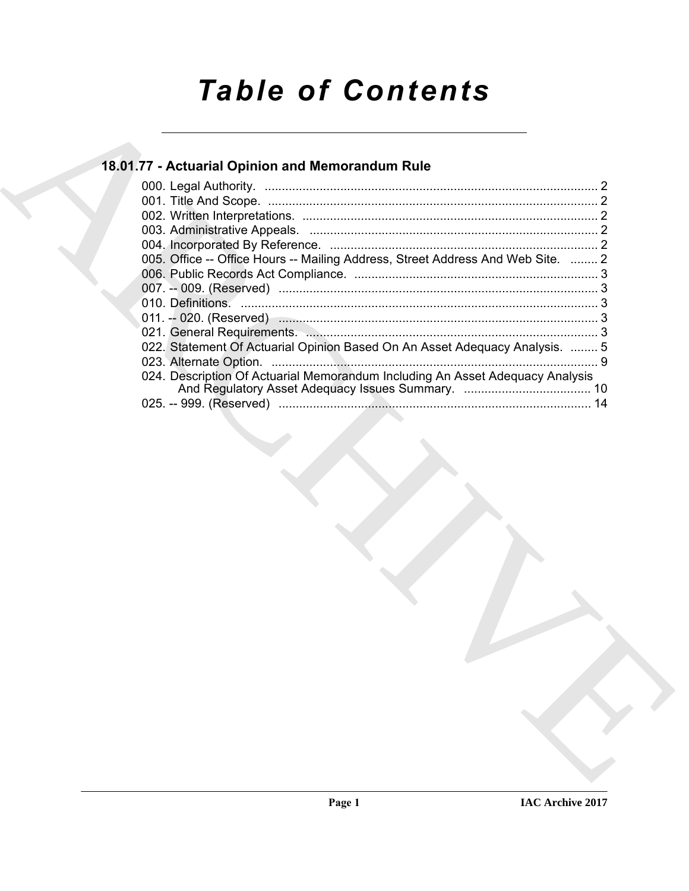# *Table of Contents*

# **18.01.77 - Actuarial Opinion and Memorandum Rule**

| 18.01.77 - Actuarial Opinion and Memorandum Rule                                |
|---------------------------------------------------------------------------------|
|                                                                                 |
|                                                                                 |
|                                                                                 |
|                                                                                 |
| 005. Office -- Office Hours -- Mailing Address, Street Address And Web Site.  2 |
|                                                                                 |
|                                                                                 |
|                                                                                 |
|                                                                                 |
| 022. Statement Of Actuarial Opinion Based On An Asset Adequacy Analysis.  5     |
| 024. Description Of Actuarial Memorandum Including An Asset Adequacy Analysis   |
|                                                                                 |
|                                                                                 |
|                                                                                 |
|                                                                                 |
|                                                                                 |
|                                                                                 |
|                                                                                 |
|                                                                                 |
|                                                                                 |
|                                                                                 |
|                                                                                 |
|                                                                                 |
|                                                                                 |
|                                                                                 |
|                                                                                 |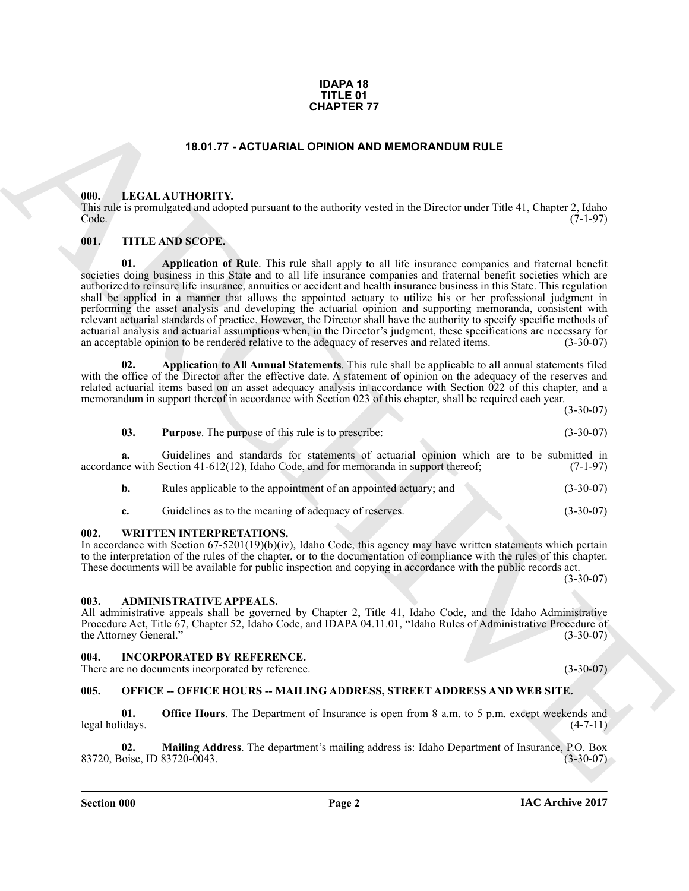### **IDAPA 18 TITLE 01 CHAPTER 77**

# **18.01.77 - ACTUARIAL OPINION AND MEMORANDUM RULE**

# <span id="page-1-1"></span><span id="page-1-0"></span>**000. LEGAL AUTHORITY.**

This rule is promulgated and adopted pursuant to the authority vested in the Director under Title 41, Chapter 2, Idaho Code. (7-1-97)

# <span id="page-1-2"></span>**001. TITLE AND SCOPE.**

**CHAPTER 77**<br> **CHARCHIVE CONTROVER CONTROVER AND MEMORAND UM RULE (1998)**<br> **CHARCHIVE CONTROVER CONTROVER CONTROVER CONTROVER CONTROVER CONTROVER CONTROVER CONTROVER CONTROVER CONTROVER CONTROVER CONTROVER CONTROVER CONTR 01. Application of Rule**. This rule shall apply to all life insurance companies and fraternal benefit societies doing business in this State and to all life insurance companies and fraternal benefit societies which are authorized to reinsure life insurance, annuities or accident and health insurance business in this State. This regulation shall be applied in a manner that allows the appointed actuary to utilize his or her professional judgment in performing the asset analysis and developing the actuarial opinion and supporting memoranda, consistent with relevant actuarial standards of practice. However, the Director shall have the authority to specify specific methods of actuarial analysis and actuarial assumptions when, in the Director's judgment, these specifications are necessary for<br>an acceptable opinion to be rendered relative to the adequacy of reserves and related items. (3-30-07) an acceptable opinion to be rendered relative to the adequacy of reserves and related items.

**02. Application to All Annual Statements**. This rule shall be applicable to all annual statements filed with the office of the Director after the effective date. A statement of opinion on the adequacy of the reserves and related actuarial items based on an asset adequacy analysis in accordance with Section 022 of this chapter, and a memorandum in support thereof in accordance with Section 023 of this chapter, shall be required each year.

(3-30-07)

# **03. Purpose**. The purpose of this rule is to prescribe: (3-30-07)

**a.** Guidelines and standards for statements of actuarial opinion which are to be submitted in accordance with Section 41-612(12), Idaho Code, and for memoranda in support thereof; (7-1-97)

| b. | Rules applicable to the appointment of an appointed actuary; and | $(3-30-07)$ |
|----|------------------------------------------------------------------|-------------|
|    |                                                                  |             |

**c.** Guidelines as to the meaning of adequacy of reserves. (3-30-07)

## <span id="page-1-3"></span>**002. WRITTEN INTERPRETATIONS.**

In accordance with Section 67-5201(19)(b)(iv), Idaho Code, this agency may have written statements which pertain to the interpretation of the rules of the chapter, or to the documentation of compliance with the rules of this chapter. These documents will be available for public inspection and copying in accordance with the public records act.

 $(3-30-07)$ 

## <span id="page-1-4"></span>**003. ADMINISTRATIVE APPEALS.**

All administrative appeals shall be governed by Chapter 2, Title 41, Idaho Code, and the Idaho Administrative Procedure Act, Title 67, Chapter 52, Idaho Code, and IDAPA 04.11.01, "Idaho Rules of Administrative Procedure of the Attorney General." (3-30-07)

## <span id="page-1-5"></span>**004. INCORPORATED BY REFERENCE.**

There are no documents incorporated by reference. (3-30-07)

## <span id="page-1-6"></span>**005. OFFICE -- OFFICE HOURS -- MAILING ADDRESS, STREET ADDRESS AND WEB SITE.**

**01. Office Hours**. The Department of Insurance is open from 8 a.m. to 5 p.m. except weekends and idays. (4-7-11) legal holidays.

**02.** Mailing Address. The department's mailing address is: Idaho Department of Insurance, P.O. Box oise, ID 83720-0043. 83720, Boise, ID 83720-0043.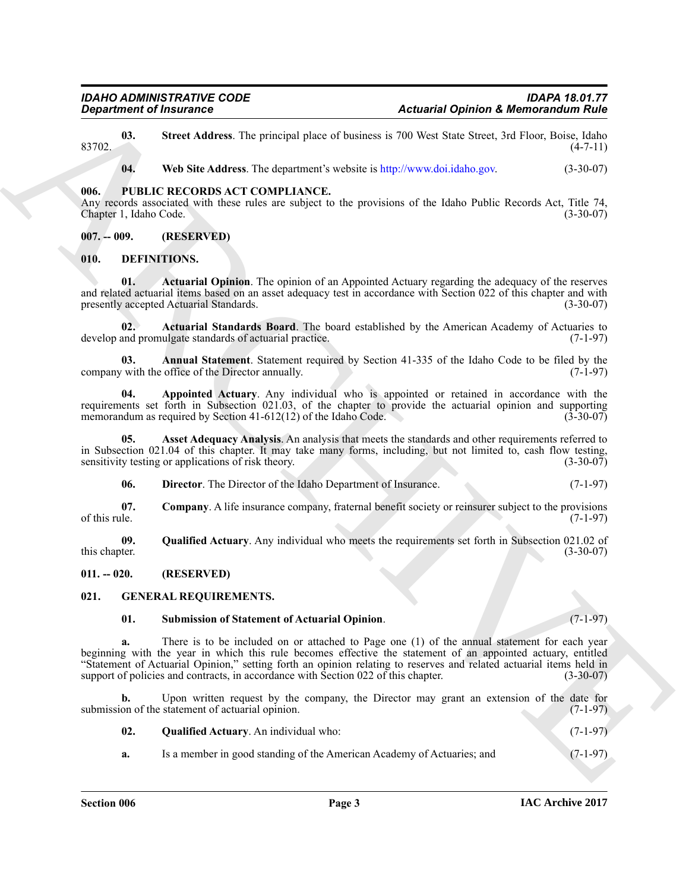**03.** Street Address. The principal place of business is 700 West State Street, 3rd Floor, Boise, Idaho (4-7-11)  $83702.$  (4-7-11)

**04. Web Site Address**. The department's website is http://www.doi.idaho.gov. (3-30-07)

# <span id="page-2-0"></span>**006. PUBLIC RECORDS ACT COMPLIANCE.**

Any records associated with these rules are subject to the provisions of the Idaho Public Records Act, Title 74, Chapter 1, Idaho Code. (3-30-07)

# <span id="page-2-1"></span>**007. -- 009. (RESERVED)**

# <span id="page-2-5"></span><span id="page-2-2"></span>**010. DEFINITIONS.**

<span id="page-2-6"></span>**01. Actuarial Opinion**. The opinion of an Appointed Actuary regarding the adequacy of the reserves and related actuarial items based on an asset adequacy test in accordance with Section 022 of this chapter and with presently accepted Actuarial Standards. (3-30-07)

<span id="page-2-7"></span>**02. Actuarial Standards Board**. The board established by the American Academy of Actuaries to develop and promulgate standards of actuarial practice. (7-1-97)

<span id="page-2-8"></span>**03.** Annual Statement. Statement required by Section 41-335 of the Idaho Code to be filed by the with the office of the Director annually. (7-1-97) company with the office of the Director annually.

<span id="page-2-9"></span>**04. Appointed Actuary**. Any individual who is appointed or retained in accordance with the requirements set forth in Subsection 021.03, of the chapter to provide the actuarial opinion and supporting memorandum as required by Section 41-612(12) of the Idaho Code. (3-30-07) memorandum as required by Section  $41-612(12)$  of the Idaho Code.

**05. Asset Adequacy Analysis**. An analysis that meets the standards and other requirements referred to in Subsection 021.04 of this chapter. It may take many forms, including, but not limited to, cash flow testing, sensitivity testing or applications of risk theory. (3-30-07) sensitivity testing or applications of risk theory.

<span id="page-2-13"></span><span id="page-2-12"></span><span id="page-2-11"></span><span id="page-2-10"></span>**06. Director**. The Director of the Idaho Department of Insurance. (7-1-97)

**07.** Company. A life insurance company, fraternal benefit society or reinsurer subject to the provisions of this rule. (7-1-97) of this rule.  $(7-1-97)$ 

**09.** Qualified Actuary. Any individual who meets the requirements set forth in Subsection 021.02 of this chapter. (3-30-07) this chapter.  $(3-30-07)$ 

<span id="page-2-3"></span>**011. -- 020. (RESERVED)**

# <span id="page-2-4"></span>**021. GENERAL REQUIREMENTS.**

# <span id="page-2-16"></span><span id="page-2-14"></span>**01. Submission of Statement of Actuarial Opinion**. (7-1-97)

**Expansion of Insurance Constraints of Assumed Palmins & Montical numbers (Expansion of Assumed Palmins Research Advisors (Exp. 1973)<br>
1973. March Montical Constraints when a latter of basis is to be seen and a latter see a.** There is to be included on or attached to Page one (1) of the annual statement for each year beginning with the year in which this rule becomes effective the statement of an appointed actuary, entitled "Statement of Actuarial Opinion," setting forth an opinion relating to reserves and related actuarial items held in support of policies and contracts, in accordance with Section 022 of this chapter. (3-30-07)

**b.** Upon written request by the company, the Director may grant an extension of the date for submission of the statement of actuarial opinion. (7-1-97)

<span id="page-2-15"></span>

| 02. | <b>Qualified Actuary.</b> An individual who: | $(7-1-97)$ |
|-----|----------------------------------------------|------------|
|     |                                              |            |

**a.** Is a member in good standing of the American Academy of Actuaries; and  $(7-1-97)$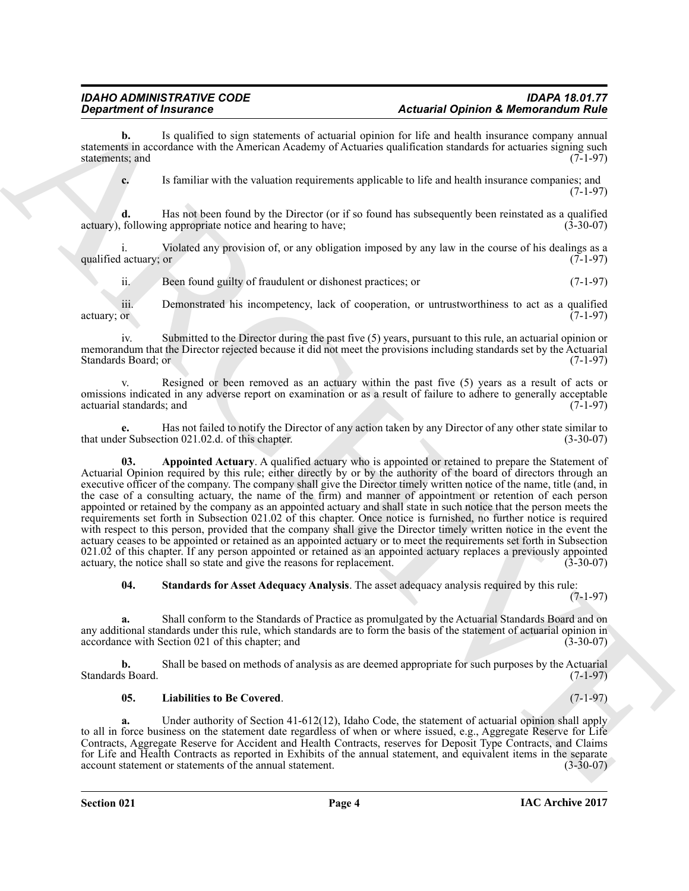**b.** Is qualified to sign statements of actuarial opinion for life and health insurance company annual statements in accordance with the American Academy of Actuaries qualification standards for actuaries signing such statements; and (7-1-97) statements; and

**c.** Is familiar with the valuation requirements applicable to life and health insurance companies; and (7-1-97)

**d.** Has not been found by the Director (or if so found has subsequently been reinstated as a qualified following appropriate notice and hearing to have: (3-30-07) actuary), following appropriate notice and hearing to have;

i. Violated any provision of, or any obligation imposed by any law in the course of his dealings as a qualified actuary; or

ii. Been found guilty of fraudulent or dishonest practices; or (7-1-97)

iii. Demonstrated his incompetency, lack of cooperation, or untrustworthiness to act as a qualified actuary; or  $(7-1-97)$ 

iv. Submitted to the Director during the past five (5) years, pursuant to this rule, an actuarial opinion or memorandum that the Director rejected because it did not meet the provisions including standards set by the Actuarial Standards Board; or (7-1-97) Standards Board; or

v. Resigned or been removed as an actuary within the past five (5) years as a result of acts or omissions indicated in any adverse report on examination or as a result of failure to adhere to generally acceptable actuarial standards; and (7-1-97)

<span id="page-3-0"></span>**e.** Has not failed to notify the Director of any action taken by any Director of any other state similar to r Subsection 021.02.d. of this chapter. (3-30-07) that under Subsection  $021.02$ .d. of this chapter.

**Equation of Francesco Constraints of retransit commutation of Bellin and Monitorial Construction Construction**<br>
Action is a set of the set of the set of the set of the set of the set of the set of the set of the set of t **03. Appointed Actuary**. A qualified actuary who is appointed or retained to prepare the Statement of Actuarial Opinion required by this rule; either directly by or by the authority of the board of directors through an executive officer of the company. The company shall give the Director timely written notice of the name, title (and, in the case of a consulting actuary, the name of the firm) and manner of appointment or retention of each person appointed or retained by the company as an appointed actuary and shall state in such notice that the person meets the requirements set forth in Subsection 021.02 of this chapter. Once notice is furnished, no further notice is required with respect to this person, provided that the company shall give the Director timely written notice in the event the actuary ceases to be appointed or retained as an appointed actuary or to meet the requirements set forth in Subsection  $021.02$  of this chapter. If any person appointed or retained as an appointed actuary replaces a previously appointed actuary, the notice shall so state and give the reasons for replacement.  $(3-30-07)$ actuary, the notice shall so state and give the reasons for replacement.

<span id="page-3-2"></span>**04. Standards for Asset Adequacy Analysis**. The asset adequacy analysis required by this rule:

(7-1-97)

**a.** Shall conform to the Standards of Practice as promulgated by the Actuarial Standards Board and on any additional standards under this rule, which standards are to form the basis of the statement of actuarial opinion in accordance with Section 021 of this chapter: and  $(3-30-07)$ accordance with Section 021 of this chapter; and

**b.** Shall be based on methods of analysis as are deemed appropriate for such purposes by the Actuarial Standards Board. (7-1-97)

# <span id="page-3-1"></span>**05. Liabilities to Be Covered**. (7-1-97)

**a.** Under authority of Section 41-612(12), Idaho Code, the statement of actuarial opinion shall apply to all in force business on the statement date regardless of when or where issued, e.g., Aggregate Reserve for Life Contracts, Aggregate Reserve for Accident and Health Contracts, reserves for Deposit Type Contracts, and Claims for Life and Health Contracts as reported in Exhibits of the annual statement, and equivalent items in the separate account statement or statements of the annual statement. account statement or statements of the annual statement.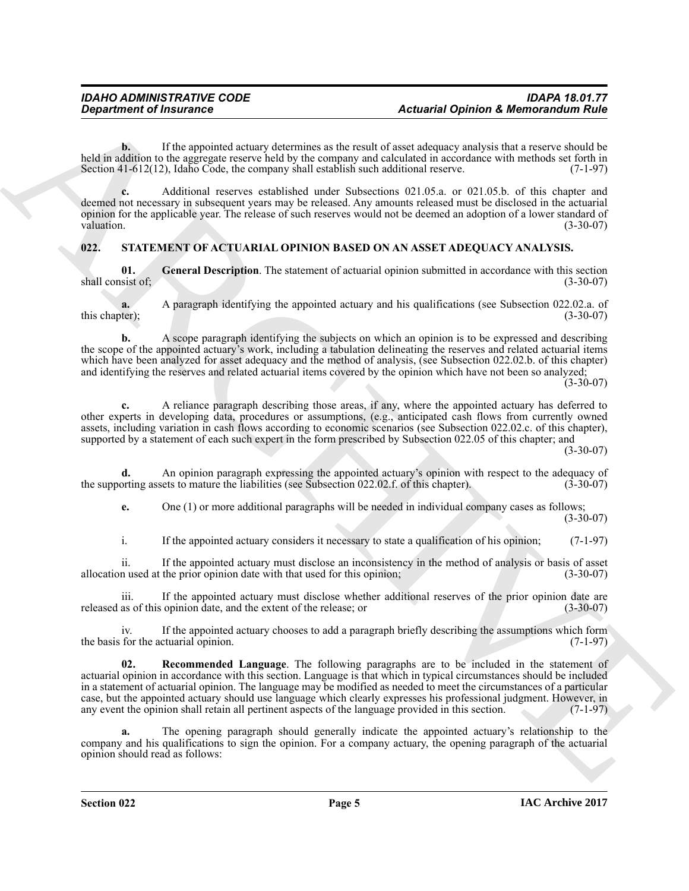**b.** If the appointed actuary determines as the result of asset adequacy analysis that a reserve should be held in addition to the aggregate reserve held by the company and calculated in accordance with methods set forth in Section 41-612(12). Idaho Code, the company shall establish such additional reserve. (7-1-97) Section  $41-612(12)$ , Idaho Code, the company shall establish such additional reserve.

**c.** Additional reserves established under Subsections 021.05.a. or 021.05.b. of this chapter and deemed not necessary in subsequent years may be released. Any amounts released must be disclosed in the actuarial opinion for the applicable year. The release of such reserves would not be deemed an adoption of a lower standard of valuation. (3-30-07)

# <span id="page-4-1"></span><span id="page-4-0"></span>**022. STATEMENT OF ACTUARIAL OPINION BASED ON AN ASSET ADEQUACY ANALYSIS.**

<span id="page-4-2"></span>**01.** General Description. The statement of actuarial opinion submitted in accordance with this section (3-30-07) shall consist of;

**a.** A paragraph identifying the appointed actuary and his qualifications (see Subsection 022.02.a. of ter);<br>(3-30-07) this chapter);

**b.** A scope paragraph identifying the subjects on which an opinion is to be expressed and describing the scope of the appointed actuary's work, including a tabulation delineating the reserves and related actuarial items which have been analyzed for asset adequacy and the method of analysis, (see Subsection 022.02.b. of this chapter) and identifying the reserves and related actuarial items covered by the opinion which have not been so analyzed;  $(3-30-07)$ 

**c.** A reliance paragraph describing those areas, if any, where the appointed actuary has deferred to other experts in developing data, procedures or assumptions, (e.g., anticipated cash flows from currently owned assets, including variation in cash flows according to economic scenarios (see Subsection 022.02.c. of this chapter), supported by a statement of each such expert in the form prescribed by Subsection 022.05 of this chapter; and

(3-30-07)

**d.** An opinion paragraph expressing the appointed actuary's opinion with respect to the adequacy of orting assets to mature the liabilities (see Subsection 022.02.f. of this chapter). (3-30-07) the supporting assets to mature the liabilities (see Subsection 022.02.f. of this chapter).

**e.** One (1) or more additional paragraphs will be needed in individual company cases as follows;  $(3-30-07)$ 

i. If the appointed actuary considers it necessary to state a qualification of his opinion; (7-1-97)

ii. If the appointed actuary must disclose an inconsistency in the method of analysis or basis of asset n used at the prior opinion date with that used for this opinion; (3-30-07) allocation used at the prior opinion date with that used for this opinion;

iii. If the appointed actuary must disclose whether additional reserves of the prior opinion date are released as of this opinion date, and the extent of the release; or (3-30-07)

<span id="page-4-3"></span>iv. If the appointed actuary chooses to add a paragraph briefly describing the assumptions which form for the actuarial opinion. (7-1-97) the basis for the actuarial opinion.

*Department of Insurance*<br> **Actual Contribute the symptom method contribute in the symptom of distribution in the symptom of Moreovardian<br>
Noting the symptom method with the symptom and the symptom of the symptom and sy Recommended Language**. The following paragraphs are to be included in the statement of actuarial opinion in accordance with this section. Language is that which in typical circumstances should be included in a statement of actuarial opinion. The language may be modified as needed to meet the circumstances of a particular case, but the appointed actuary should use language which clearly expresses his professional judgment. However, in any event the opinion shall retain all pertinent aspects of the language provided in this section. (7-1-97)

**a.** The opening paragraph should generally indicate the appointed actuary's relationship to the company and his qualifications to sign the opinion. For a company actuary, the opening paragraph of the actuarial opinion should read as follows: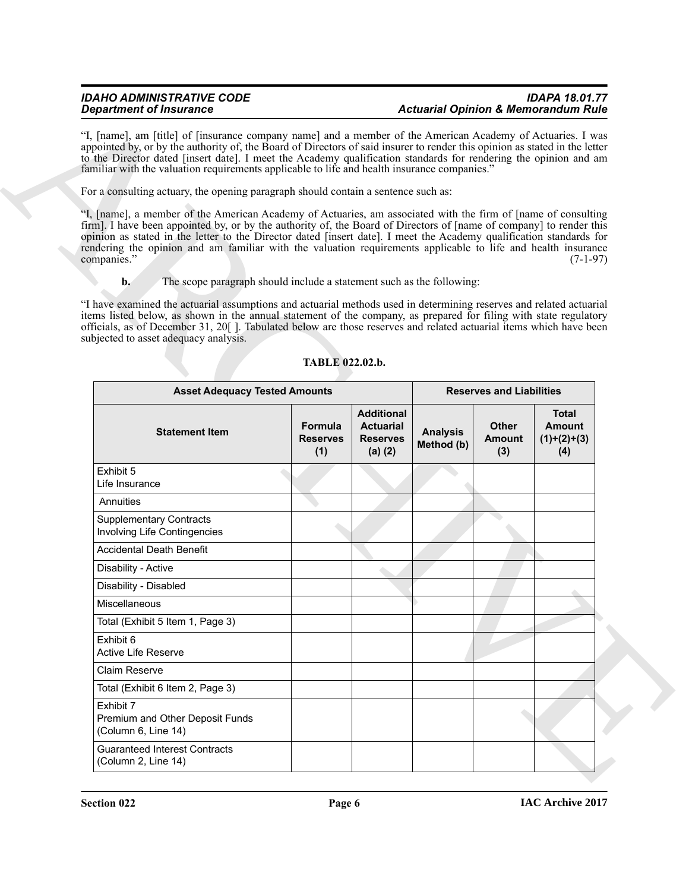# **b.** The scope paragraph should include a statement such as the following:

| <b>Department of Insurance</b>                                                                                                                                                                                                                                                                                                                                                                                                                                                                            |                            |                                                                     | <b>Actuarial Opinion &amp; Memorandum Rule</b> |                                      |                                                       |  |  |  |
|-----------------------------------------------------------------------------------------------------------------------------------------------------------------------------------------------------------------------------------------------------------------------------------------------------------------------------------------------------------------------------------------------------------------------------------------------------------------------------------------------------------|----------------------------|---------------------------------------------------------------------|------------------------------------------------|--------------------------------------|-------------------------------------------------------|--|--|--|
| "I, [name], am [title] of [insurance company name] and a member of the American Academy of Actuaries. I was<br>appointed by, or by the authority of, the Board of Directors of said insurer to render this opinion as stated in the letter<br>to the Director dated [insert date]. I meet the Academy qualification standards for rendering the opinion and am<br>familiar with the valuation requirements applicable to life and health insurance companies."                                            |                            |                                                                     |                                                |                                      |                                                       |  |  |  |
| For a consulting actuary, the opening paragraph should contain a sentence such as:                                                                                                                                                                                                                                                                                                                                                                                                                        |                            |                                                                     |                                                |                                      |                                                       |  |  |  |
| "I, [name], a member of the American Academy of Actuaries, am associated with the firm of [name of consulting<br>firm]. I have been appointed by, or by the authority of, the Board of Directors of [name of company] to render this<br>opinion as stated in the letter to the Director dated [insert date]. I meet the Academy qualification standards for<br>rendering the opinion and am familiar with the valuation requirements applicable to life and health insurance<br>companies."<br>$(7-1-97)$ |                            |                                                                     |                                                |                                      |                                                       |  |  |  |
| The scope paragraph should include a statement such as the following:<br>$\mathbf{b}$ .                                                                                                                                                                                                                                                                                                                                                                                                                   |                            |                                                                     |                                                |                                      |                                                       |  |  |  |
| "I have examined the actuarial assumptions and actuarial methods used in determining reserves and related actuarial<br>items listed below, as shown in the annual statement of the company, as prepared for filing with state regulatory<br>officials, as of December 31, 20[]. Tabulated below are those reserves and related actuarial items which have been<br>subjected to asset adequacy analysis.                                                                                                   | TABLE 022.02.b.            |                                                                     |                                                |                                      |                                                       |  |  |  |
| <b>Asset Adequacy Tested Amounts</b>                                                                                                                                                                                                                                                                                                                                                                                                                                                                      |                            |                                                                     |                                                | <b>Reserves and Liabilities</b>      |                                                       |  |  |  |
| <b>Statement Item</b>                                                                                                                                                                                                                                                                                                                                                                                                                                                                                     | Formula<br>Reserves<br>(1) | <b>Additional</b><br><b>Actuarial</b><br><b>Reserves</b><br>(a) (2) | <b>Analysis</b><br>Method (b)                  | <b>Other</b><br><b>Amount</b><br>(3) | <b>Total</b><br><b>Amount</b><br>$(1)+(2)+(3)$<br>(4) |  |  |  |
| Exhibit 5<br>Life Insurance                                                                                                                                                                                                                                                                                                                                                                                                                                                                               |                            |                                                                     |                                                |                                      |                                                       |  |  |  |
| Annuities                                                                                                                                                                                                                                                                                                                                                                                                                                                                                                 |                            |                                                                     |                                                |                                      |                                                       |  |  |  |
| <b>Supplementary Contracts</b>                                                                                                                                                                                                                                                                                                                                                                                                                                                                            |                            |                                                                     |                                                |                                      |                                                       |  |  |  |
| Involving Life Contingencies                                                                                                                                                                                                                                                                                                                                                                                                                                                                              |                            |                                                                     |                                                |                                      |                                                       |  |  |  |
| <b>Accidental Death Benefit</b>                                                                                                                                                                                                                                                                                                                                                                                                                                                                           |                            |                                                                     |                                                |                                      |                                                       |  |  |  |
| Disability - Active                                                                                                                                                                                                                                                                                                                                                                                                                                                                                       |                            |                                                                     |                                                |                                      |                                                       |  |  |  |
| Disability - Disabled                                                                                                                                                                                                                                                                                                                                                                                                                                                                                     |                            |                                                                     |                                                |                                      |                                                       |  |  |  |
| Miscellaneous                                                                                                                                                                                                                                                                                                                                                                                                                                                                                             |                            |                                                                     |                                                |                                      |                                                       |  |  |  |
| Total (Exhibit 5 Item 1, Page 3)                                                                                                                                                                                                                                                                                                                                                                                                                                                                          |                            |                                                                     |                                                |                                      |                                                       |  |  |  |
| Exhibit 6<br>Active Life Reserve                                                                                                                                                                                                                                                                                                                                                                                                                                                                          |                            |                                                                     |                                                |                                      |                                                       |  |  |  |
| Claim Reserve                                                                                                                                                                                                                                                                                                                                                                                                                                                                                             |                            |                                                                     |                                                |                                      |                                                       |  |  |  |
| Total (Exhibit 6 Item 2, Page 3)                                                                                                                                                                                                                                                                                                                                                                                                                                                                          |                            |                                                                     |                                                |                                      |                                                       |  |  |  |
| Exhibit 7<br>Premium and Other Deposit Funds<br>(Column 6, Line 14)                                                                                                                                                                                                                                                                                                                                                                                                                                       |                            |                                                                     |                                                |                                      |                                                       |  |  |  |

# <span id="page-5-0"></span>**TABLE 022.02.b.**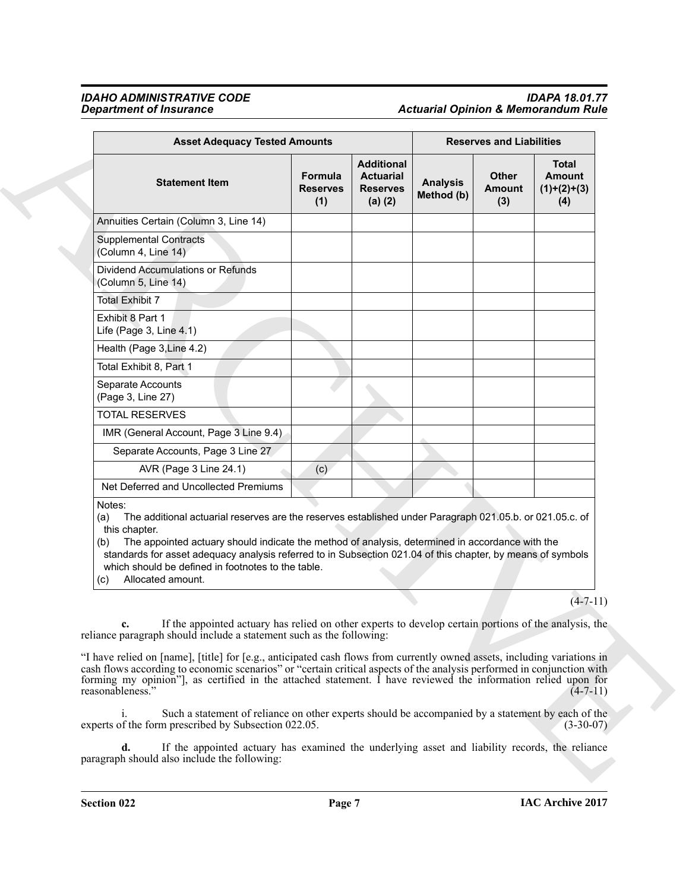# *IDAHO ADMINISTRATIVE CODE IDAPA 18.01.77 Department of Insurance Actuarial Opinion & Memorandum Rule*

| <b>Asset Adequacy Tested Amounts</b>                                                                                                                                                                                                                                                                                                                                                                                                                  |                                   |                                                                     | <b>Reserves and Liabilities</b> |                                      |                                                       |
|-------------------------------------------------------------------------------------------------------------------------------------------------------------------------------------------------------------------------------------------------------------------------------------------------------------------------------------------------------------------------------------------------------------------------------------------------------|-----------------------------------|---------------------------------------------------------------------|---------------------------------|--------------------------------------|-------------------------------------------------------|
| <b>Statement Item</b>                                                                                                                                                                                                                                                                                                                                                                                                                                 | <b>Formula</b><br>Reserves<br>(1) | <b>Additional</b><br><b>Actuarial</b><br><b>Reserves</b><br>(a) (2) | <b>Analysis</b><br>Method (b)   | <b>Other</b><br><b>Amount</b><br>(3) | <b>Total</b><br><b>Amount</b><br>$(1)+(2)+(3)$<br>(4) |
| Annuities Certain (Column 3, Line 14)                                                                                                                                                                                                                                                                                                                                                                                                                 |                                   |                                                                     |                                 |                                      |                                                       |
| <b>Supplemental Contracts</b><br>(Column 4, Line 14)                                                                                                                                                                                                                                                                                                                                                                                                  |                                   |                                                                     |                                 |                                      |                                                       |
| Dividend Accumulations or Refunds<br>(Column 5, Line 14)                                                                                                                                                                                                                                                                                                                                                                                              |                                   |                                                                     |                                 |                                      |                                                       |
| <b>Total Exhibit 7</b>                                                                                                                                                                                                                                                                                                                                                                                                                                |                                   |                                                                     |                                 |                                      |                                                       |
| Exhibit 8 Part 1<br>Life (Page 3, Line 4.1)                                                                                                                                                                                                                                                                                                                                                                                                           |                                   |                                                                     |                                 |                                      |                                                       |
| Health (Page 3, Line 4.2)                                                                                                                                                                                                                                                                                                                                                                                                                             |                                   |                                                                     |                                 |                                      |                                                       |
| Total Exhibit 8, Part 1                                                                                                                                                                                                                                                                                                                                                                                                                               |                                   |                                                                     |                                 |                                      |                                                       |
| Separate Accounts<br>(Page 3, Line 27)                                                                                                                                                                                                                                                                                                                                                                                                                |                                   |                                                                     |                                 |                                      |                                                       |
| <b>TOTAL RESERVES</b>                                                                                                                                                                                                                                                                                                                                                                                                                                 |                                   |                                                                     |                                 |                                      |                                                       |
| IMR (General Account, Page 3 Line 9.4)                                                                                                                                                                                                                                                                                                                                                                                                                |                                   |                                                                     |                                 |                                      |                                                       |
| Separate Accounts, Page 3 Line 27                                                                                                                                                                                                                                                                                                                                                                                                                     |                                   |                                                                     |                                 |                                      |                                                       |
| AVR (Page 3 Line 24.1)                                                                                                                                                                                                                                                                                                                                                                                                                                | (c)                               |                                                                     |                                 |                                      |                                                       |
| Net Deferred and Uncollected Premiums                                                                                                                                                                                                                                                                                                                                                                                                                 |                                   |                                                                     |                                 |                                      |                                                       |
| Notes:<br>The additional actuarial reserves are the reserves established under Paragraph 021.05.b. or 021.05.c. of<br>(a)<br>this chapter.<br>The appointed actuary should indicate the method of analysis, determined in accordance with the<br>(b)<br>standards for asset adequacy analysis referred to in Subsection 021.04 of this chapter, by means of symbols<br>which should be defined in footnotes to the table.<br>Allocated amount.<br>(c) |                                   |                                                                     |                                 |                                      |                                                       |
|                                                                                                                                                                                                                                                                                                                                                                                                                                                       |                                   |                                                                     |                                 |                                      | $(4 - 7 - 11)$                                        |
| If the appointed actuary has relied on other experts to develop certain portions of the analysis, the<br>c.<br>reliance paragraph should include a statement such as the following:                                                                                                                                                                                                                                                                   |                                   |                                                                     |                                 |                                      |                                                       |
| "I have relied on [name], [title] for [e.g., anticipated cash flows from currently owned assets, including variations in<br>cash flows according to economic scenarios" or "certain critical aspects of the analysis performed in conjunction with<br>forming my opinion", as certified in the attached statement. I have reviewed the information relied upon for<br>reasonableness."                                                                |                                   |                                                                     |                                 |                                      | $(4-7-11)$                                            |
|                                                                                                                                                                                                                                                                                                                                                                                                                                                       |                                   |                                                                     |                                 |                                      |                                                       |
| Such a statement of reliance on other experts should be accompanied by a statement by each of the<br>$\mathbf{i}$ .<br>experts of the form prescribed by Subsection 022.05.                                                                                                                                                                                                                                                                           |                                   |                                                                     |                                 |                                      | $(3-30-07)$                                           |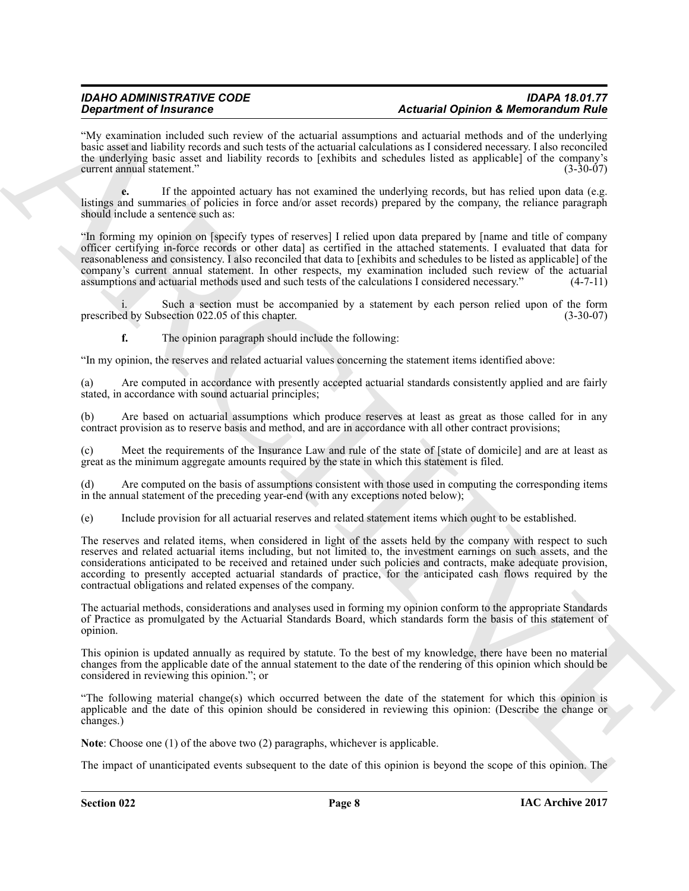"My examination included such review of the actuarial assumptions and actuarial methods and of the underlying basic asset and liability records and such tests of the actuarial calculations as I considered necessary. I also reconciled the underlying basic asset and liability records to [exhibits and schedules listed as applicable] of the company's current annual statement." (3-30-07)

**e.** If the appointed actuary has not examined the underlying records, but has relied upon data (e.g. listings and summaries of policies in force and/or asset records) prepared by the company, the reliance paragraph should include a sentence such as:

**Statistics of Internation** Constraints of the planetic statistics and the statistics of the measurement of the statistics of the statistics of the statistics of the statistics of the statistics of the statistics of the s "In forming my opinion on [specify types of reserves] I relied upon data prepared by [name and title of company officer certifying in-force records or other data] as certified in the attached statements. I evaluated that data for reasonableness and consistency. I also reconciled that data to [exhibits and schedules to be listed as applicable] of the company's current annual statement. In other respects, my examination included such review of the actuarial assumptions and actuarial methods used and such tests of the calculations I considered necessary." (4-7-11) assumptions and actuarial methods used and such tests of the calculations I considered necessary."

Such a section must be accompanied by a statement by each person relied upon of the form section 022.05 of this chapter. (3-30-07) prescribed by Subsection 022.05 of this chapter.

**f.** The opinion paragraph should include the following:

"In my opinion, the reserves and related actuarial values concerning the statement items identified above:

(a) Are computed in accordance with presently accepted actuarial standards consistently applied and are fairly stated, in accordance with sound actuarial principles;

(b) Are based on actuarial assumptions which produce reserves at least as great as those called for in any contract provision as to reserve basis and method, and are in accordance with all other contract provisions;

(c) Meet the requirements of the Insurance Law and rule of the state of [state of domicile] and are at least as great as the minimum aggregate amounts required by the state in which this statement is filed.

(d) Are computed on the basis of assumptions consistent with those used in computing the corresponding items in the annual statement of the preceding year-end (with any exceptions noted below);

(e) Include provision for all actuarial reserves and related statement items which ought to be established.

The reserves and related items, when considered in light of the assets held by the company with respect to such reserves and related actuarial items including, but not limited to, the investment earnings on such assets, and the considerations anticipated to be received and retained under such policies and contracts, make adequate provision, according to presently accepted actuarial standards of practice, for the anticipated cash flows required by the contractual obligations and related expenses of the company.

The actuarial methods, considerations and analyses used in forming my opinion conform to the appropriate Standards of Practice as promulgated by the Actuarial Standards Board, which standards form the basis of this statement of opinion.

This opinion is updated annually as required by statute. To the best of my knowledge, there have been no material changes from the applicable date of the annual statement to the date of the rendering of this opinion which should be considered in reviewing this opinion."; or

"The following material change(s) which occurred between the date of the statement for which this opinion is applicable and the date of this opinion should be considered in reviewing this opinion: (Describe the change or changes.)

**Note**: Choose one (1) of the above two (2) paragraphs, whichever is applicable.

The impact of unanticipated events subsequent to the date of this opinion is beyond the scope of this opinion. The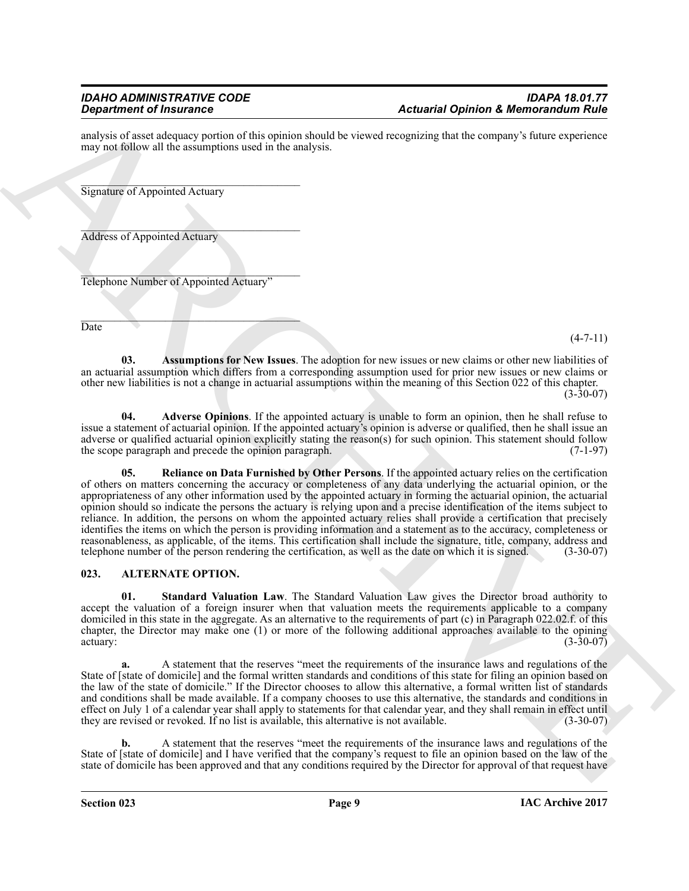analysis of asset adequacy portion of this opinion should be viewed recognizing that the company's future experience may not follow all the assumptions used in the analysis.

\_\_\_\_\_\_\_\_\_\_\_\_\_\_\_\_\_\_\_\_\_\_\_\_\_\_\_\_\_\_\_\_\_\_\_\_\_\_\_ Signature of Appointed Actuary

 $\mathcal{L}=\mathcal{L}=\mathcal{L}=\mathcal{L}=\mathcal{L}=\mathcal{L}=\mathcal{L}=\mathcal{L}=\mathcal{L}=\mathcal{L}=\mathcal{L}=\mathcal{L}=\mathcal{L}=\mathcal{L}=\mathcal{L}=\mathcal{L}=\mathcal{L}=\mathcal{L}=\mathcal{L}=\mathcal{L}=\mathcal{L}=\mathcal{L}=\mathcal{L}=\mathcal{L}=\mathcal{L}=\mathcal{L}=\mathcal{L}=\mathcal{L}=\mathcal{L}=\mathcal{L}=\mathcal{L}=\mathcal{L}=\mathcal{L}=\mathcal{L}=\mathcal{L}=\mathcal{L}=\mathcal{$ Address of Appointed Actuary

 $\mathcal{L}_\text{max}$  and  $\mathcal{L}_\text{max}$  and  $\mathcal{L}_\text{max}$  and  $\mathcal{L}_\text{max}$ Telephone Number of Appointed Actuary"

 $\mathcal{L}=\mathcal{L}=\mathcal{L}=\mathcal{L}=\mathcal{L}=\mathcal{L}=\mathcal{L}=\mathcal{L}=\mathcal{L}=\mathcal{L}=\mathcal{L}=\mathcal{L}=\mathcal{L}=\mathcal{L}=\mathcal{L}=\mathcal{L}=\mathcal{L}=\mathcal{L}=\mathcal{L}=\mathcal{L}=\mathcal{L}=\mathcal{L}=\mathcal{L}=\mathcal{L}=\mathcal{L}=\mathcal{L}=\mathcal{L}=\mathcal{L}=\mathcal{L}=\mathcal{L}=\mathcal{L}=\mathcal{L}=\mathcal{L}=\mathcal{L}=\mathcal{L}=\mathcal{L}=\mathcal{$ **Date** 

 $(4 - 7 - 11)$ 

<span id="page-8-4"></span>**03. Assumptions for New Issues**. The adoption for new issues or new claims or other new liabilities of an actuarial assumption which differs from a corresponding assumption used for prior new issues or new claims or other new liabilities is not a change in actuarial assumptions within the meaning of this Section 022 of this chapter.

(3-30-07)

<span id="page-8-5"></span><span id="page-8-3"></span>**04. Adverse Opinions**. If the appointed actuary is unable to form an opinion, then he shall refuse to issue a statement of actuarial opinion. If the appointed actuary's opinion is adverse or qualified, then he shall issue an adverse or qualified actuarial opinion explicitly stating the reason(s) for such opinion. This statement should follow the scope paragraph and precede the opinion paragraph. (7-1-97) the scope paragraph and precede the opinion paragraph.

**Example of Francesco Control Characteristics**<br> **Actuared Distribution of the control Characteristics of the control control control Characteristics and the control Characteristics and the control Characteristics and the 05. Reliance on Data Furnished by Other Persons**. If the appointed actuary relies on the certification of others on matters concerning the accuracy or completeness of any data underlying the actuarial opinion, or the appropriateness of any other information used by the appointed actuary in forming the actuarial opinion, the actuarial opinion should so indicate the persons the actuary is relying upon and a precise identification of the items subject to reliance. In addition, the persons on whom the appointed actuary relies shall provide a certification that precisely identifies the items on which the person is providing information and a statement as to the accuracy, completeness or reasonableness, as applicable, of the items. This certification shall include the signature, title, company, address and telephone number of the person rendering the certification, as well as the date on which it is signed telephone number of the person rendering the certification, as well as the date on which it is signed.

# <span id="page-8-1"></span><span id="page-8-0"></span>**023. ALTERNATE OPTION.**

<span id="page-8-2"></span>**01. Standard Valuation Law**. The Standard Valuation Law gives the Director broad authority to accept the valuation of a foreign insurer when that valuation meets the requirements applicable to a company domiciled in this state in the aggregate. As an alternative to the requirements of part (c) in Paragraph 022.02.f. of this chapter, the Director may make one (1) or more of the following additional approaches available to the opining actuary: (3-30-07)  $\alpha$  actuary:  $(3-30-07)$ 

**a.** A statement that the reserves "meet the requirements of the insurance laws and regulations of the State of [state of domicile] and the formal written standards and conditions of this state for filing an opinion based on the law of the state of domicile." If the Director chooses to allow this alternative, a formal written list of standards and conditions shall be made available. If a company chooses to use this alternative, the standards and conditions in effect on July 1 of a calendar year shall apply to statements for that calendar year, and they shall remain in effect until they are revised or revoked. If no list is available, this alternative is not available. (3-30-07)

**b.** A statement that the reserves "meet the requirements of the insurance laws and regulations of the State of [state of domicile] and I have verified that the company's request to file an opinion based on the law of the state of domicile has been approved and that any conditions required by the Director for approval of that request have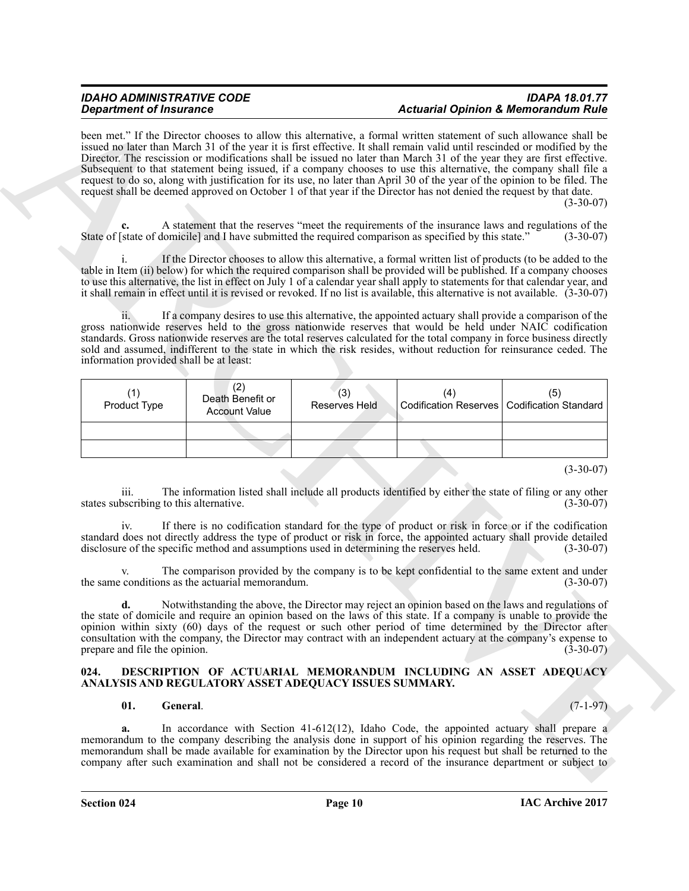# *IDAHO ADMINISTRATIVE CODE IDAPA 18.01.77 Department of Insurance Actuarial Opinion & Memorandum Rule*

| <b>Department of Insurance</b>                                                                                                                                                                                                                                                                                                                                                                                                                                                                                                                                                                                                                                                                                                                       |                                                 |                             | <b>Actuarial Opinion &amp; Memorandum Rule</b> |                                                                                                                                                                                                                                                                                                                                 |  |
|------------------------------------------------------------------------------------------------------------------------------------------------------------------------------------------------------------------------------------------------------------------------------------------------------------------------------------------------------------------------------------------------------------------------------------------------------------------------------------------------------------------------------------------------------------------------------------------------------------------------------------------------------------------------------------------------------------------------------------------------------|-------------------------------------------------|-----------------------------|------------------------------------------------|---------------------------------------------------------------------------------------------------------------------------------------------------------------------------------------------------------------------------------------------------------------------------------------------------------------------------------|--|
| been met." If the Director chooses to allow this alternative, a formal written statement of such allowance shall be<br>issued no later than March 31 of the year it is first effective. It shall remain valid until rescinded or modified by the<br>Director. The rescission or modifications shall be issued no later than March 31 of the year they are first effective.<br>Subsequent to that statement being issued, if a company chooses to use this alternative, the company shall file a<br>request to do so, along with justification for its use, no later than April 30 of the year of the opinion to be filed. The<br>request shall be deemed approved on October 1 of that year if the Director has not denied the request by that date. |                                                 |                             |                                                | $(3-30-07)$                                                                                                                                                                                                                                                                                                                     |  |
| c.<br>State of [state of domicile] and I have submitted the required comparison as specified by this state."                                                                                                                                                                                                                                                                                                                                                                                                                                                                                                                                                                                                                                         |                                                 |                             |                                                | A statement that the reserves "meet the requirements of the insurance laws and regulations of the<br>$(3-30-07)$                                                                                                                                                                                                                |  |
| table in Item (ii) below) for which the required comparison shall be provided will be published. If a company chooses<br>to use this alternative, the list in effect on July 1 of a calendar year shall apply to statements for that calendar year, and<br>it shall remain in effect until it is revised or revoked. If no list is available, this alternative is not available. (3-30-07)                                                                                                                                                                                                                                                                                                                                                           |                                                 |                             |                                                | If the Director chooses to allow this alternative, a formal written list of products (to be added to the                                                                                                                                                                                                                        |  |
| gross nationwide reserves held to the gross nationwide reserves that would be held under NAIC codification<br>standards. Gross nationwide reserves are the total reserves calculated for the total company in force business directly<br>sold and assumed, indifferent to the state in which the risk resides, without reduction for reinsurance ceded. The<br>information provided shall be at least:                                                                                                                                                                                                                                                                                                                                               |                                                 |                             |                                                | If a company desires to use this alternative, the appointed actuary shall provide a comparison of the                                                                                                                                                                                                                           |  |
| (1)<br>Product Type                                                                                                                                                                                                                                                                                                                                                                                                                                                                                                                                                                                                                                                                                                                                  | (2)<br>Death Benefit or<br><b>Account Value</b> | (3)<br><b>Reserves Held</b> | (4)<br><b>Codification Reserves</b>            | (5)<br><b>Codification Standard</b>                                                                                                                                                                                                                                                                                             |  |
|                                                                                                                                                                                                                                                                                                                                                                                                                                                                                                                                                                                                                                                                                                                                                      |                                                 |                             |                                                |                                                                                                                                                                                                                                                                                                                                 |  |
|                                                                                                                                                                                                                                                                                                                                                                                                                                                                                                                                                                                                                                                                                                                                                      |                                                 |                             |                                                |                                                                                                                                                                                                                                                                                                                                 |  |
| 111.<br>states subscribing to this alternative.<br>iv.<br>standard does not directly address the type of product or risk in force, the appointed actuary shall provide detailed                                                                                                                                                                                                                                                                                                                                                                                                                                                                                                                                                                      |                                                 |                             |                                                | $(3-30-07)$<br>The information listed shall include all products identified by either the state of filing or any other<br>$(3-30-07)$<br>If there is no codification standard for the type of product or risk in force or if the codification                                                                                   |  |
| disclosure of the specific method and assumptions used in determining the reserves held.                                                                                                                                                                                                                                                                                                                                                                                                                                                                                                                                                                                                                                                             |                                                 |                             |                                                | $(3-30-07)$                                                                                                                                                                                                                                                                                                                     |  |
| V.<br>the same conditions as the actuarial memorandum.                                                                                                                                                                                                                                                                                                                                                                                                                                                                                                                                                                                                                                                                                               |                                                 |                             |                                                | The comparison provided by the company is to be kept confidential to the same extent and under<br>$(3-30-07)$                                                                                                                                                                                                                   |  |
| d.<br>the state of domicile and require an opinion based on the laws of this state. If a company is unable to provide the<br>opinion within sixty (60) days of the request or such other period of time determined by the Director after<br>consultation with the company, the Director may contract with an independent actuary at the company's expense to<br>prepare and file the opinion.                                                                                                                                                                                                                                                                                                                                                        |                                                 |                             |                                                | Notwithstanding the above, the Director may reject an opinion based on the laws and regulations of<br>$(3-30-07)$                                                                                                                                                                                                               |  |
| 024.<br>ANALYSIS AND REGULATORY ASSET ADEQUACY ISSUES SUMMARY.                                                                                                                                                                                                                                                                                                                                                                                                                                                                                                                                                                                                                                                                                       |                                                 |                             |                                                | DESCRIPTION OF ACTUARIAL MEMORANDUM INCLUDING AN ASSET ADEQUACY                                                                                                                                                                                                                                                                 |  |
| General.<br>01.                                                                                                                                                                                                                                                                                                                                                                                                                                                                                                                                                                                                                                                                                                                                      |                                                 |                             |                                                | $(7-1-97)$                                                                                                                                                                                                                                                                                                                      |  |
| a.                                                                                                                                                                                                                                                                                                                                                                                                                                                                                                                                                                                                                                                                                                                                                   |                                                 |                             |                                                | In accordance with Section $41-612(12)$ , Idaho Code, the appointed actuary shall prepare a<br>memorandum to the company describing the analysis done in support of his opinion regarding the reserves. The<br>memorandum shall be made available for examination by the Director upon his request but shall be returned to the |  |

### <span id="page-9-1"></span><span id="page-9-0"></span>**024. DESCRIPTION OF ACTUARIAL MEMORANDUM INCLUDING AN ASSET ADEQUACY ANALYSIS AND REGULATORY ASSET ADEQUACY ISSUES SUMMARY.**

## <span id="page-9-2"></span>**01. General**. (7-1-97)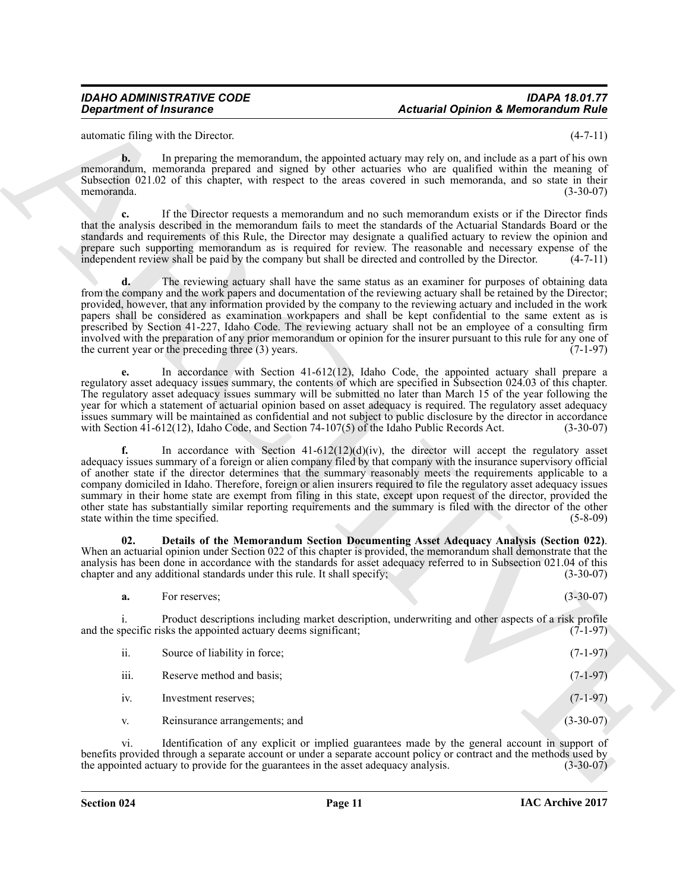automatic filing with the Director. (4-7-11)

**b.** In preparing the memorandum, the appointed actuary may rely on, and include as a part of his own memorandum, memoranda prepared and signed by other actuaries who are qualified within the meaning of Subsection 021.02 of this chapter, with respect to the areas covered in such memoranda, and so state in their memoranda. (3-30-07) memoranda. (3-30-07)

**c.** If the Director requests a memorandum and no such memorandum exists or if the Director finds that the analysis described in the memorandum fails to meet the standards of the Actuarial Standards Board or the standards and requirements of this Rule, the Director may designate a qualified actuary to review the opinion and prepare such supporting memorandum as is required for review. The reasonable and necessary expense of the independent review shall be paid by the company but shall be directed and controlled by the Director. (4-7-11) independent review shall be paid by the company but shall be directed and controlled by the Director.

*General operation of Insurance* **Actuaries Actuaries Action of Algorithm A Montrearchive Reserves A Montrearchive Reserves A Montrearchive Reserves A Montrearchive Reserves A Montrearchive Reserves A Montrearchive Reserv d.** The reviewing actuary shall have the same status as an examiner for purposes of obtaining data from the company and the work papers and documentation of the reviewing actuary shall be retained by the Director; provided, however, that any information provided by the company to the reviewing actuary and included in the work papers shall be considered as examination workpapers and shall be kept confidential to the same extent as is prescribed by Section 41-227, Idaho Code. The reviewing actuary shall not be an employee of a consulting firm involved with the preparation of any prior memorandum or opinion for the insurer pursuant to this rule for any one of the current year or the preceding three  $(3)$  years.

**e.** In accordance with Section 41-612(12), Idaho Code, the appointed actuary shall prepare a regulatory asset adequacy issues summary, the contents of which are specified in Subsection 024.03 of this chapter. The regulatory asset adequacy issues summary will be submitted no later than March 15 of the year following the year for which a statement of actuarial opinion based on asset adequacy is required. The regulatory asset adequacy issues summary will be maintained as confidential and not subject to public disclosure by the director in accordance<br>with Section 41-612(12), Idaho Code, and Section 74-107(5) of the Idaho Public Records Act. (3-30-07) with Section  $41-612(12)$ , Idaho Code, and Section  $74-107(5)$  of the Idaho Public Records Act.

In accordance with Section  $41-612(12)(d)(iv)$ , the director will accept the regulatory asset adequacy issues summary of a foreign or alien company filed by that company with the insurance supervisory official of another state if the director determines that the summary reasonably meets the requirements applicable to a company domiciled in Idaho. Therefore, foreign or alien insurers required to file the regulatory asset adequacy issues summary in their home state are exempt from filing in this state, except upon request of the director, provided the other state has substantially similar reporting requirements and the summary is filed with the director of the other state within the time specified.

**02. Details of the Memorandum Section Documenting Asset Adequacy Analysis (Section 022)**. When an actuarial opinion under Section 022 of this chapter is provided, the memorandum shall demonstrate that the analysis has been done in accordance with the standards for asset adequacy referred to in Subsection 021.04 of this chapter and any additional standards under this rule. It shall specify; (3-30-07) chapter and any additional standards under this rule. It shall specify;

<span id="page-10-0"></span>**a.** For reserves; (3-30-07)

i. Product descriptions including market description, underwriting and other aspects of a risk profile pecific risks the appointed actuary deems significant; (7-1-97) and the specific risks the appointed actuary deems significant;

| ii.  | Source of liability in force; | $(7-1-97)$  |
|------|-------------------------------|-------------|
| iii. | Reserve method and basis;     | $(7-1-97)$  |
| iv.  | Investment reserves:          | $(7-1-97)$  |
| V.   | Reinsurance arrangements; and | $(3-30-07)$ |

vi. Identification of any explicit or implied guarantees made by the general account in support of benefits provided through a separate account or under a separate account policy or contract and the methods used by the appointed actuary to provide for the guarantees in the asset adequacy analysis. (3-30-07) the appointed actuary to provide for the guarantees in the asset adequacy analysis.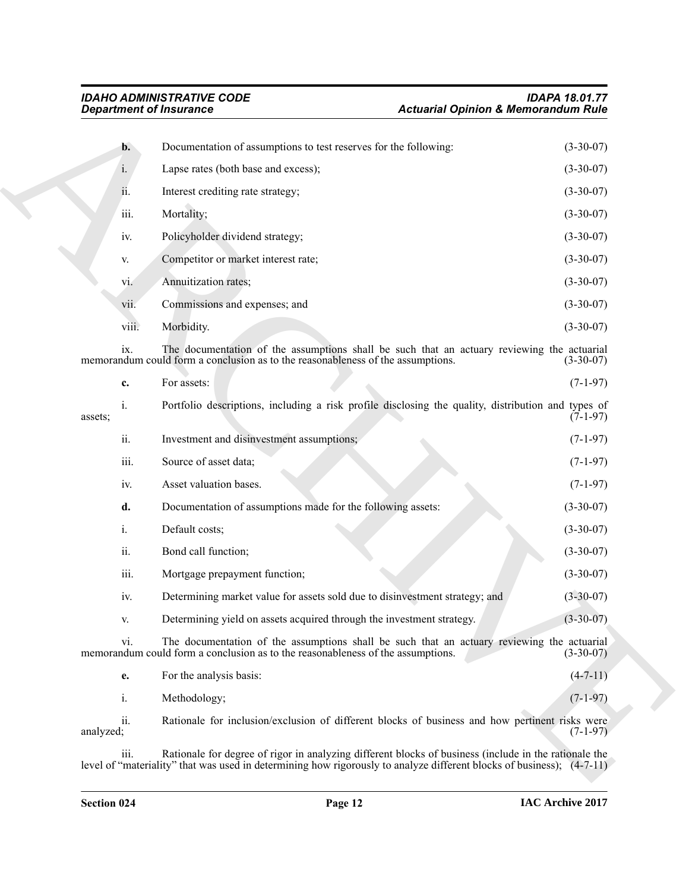| <b>Department of Insurance</b> |                                                                                        | <b>Actuarial Opinion &amp; Memorandum Rule</b>                                                        |                                                                                                                         |  |
|--------------------------------|----------------------------------------------------------------------------------------|-------------------------------------------------------------------------------------------------------|-------------------------------------------------------------------------------------------------------------------------|--|
|                                | Documentation of assumptions to test reserves for the following:<br>$\mathbf{b}$ .     |                                                                                                       | $(3-30-07)$                                                                                                             |  |
|                                | $i$ .<br>Lapse rates (both base and excess);                                           |                                                                                                       | $(3-30-07)$                                                                                                             |  |
|                                | Interest crediting rate strategy;<br>11.                                               |                                                                                                       | $(3-30-07)$                                                                                                             |  |
|                                | iii.<br>Mortality;                                                                     |                                                                                                       | $(3-30-07)$                                                                                                             |  |
|                                | Policyholder dividend strategy;<br>iv.                                                 |                                                                                                       | $(3-30-07)$                                                                                                             |  |
|                                | Competitor or market interest rate;<br>V.                                              |                                                                                                       | $(3-30-07)$                                                                                                             |  |
|                                | Annuitization rates;<br>vi.                                                            |                                                                                                       | $(3-30-07)$                                                                                                             |  |
|                                | Commissions and expenses; and<br>vii.                                                  |                                                                                                       | $(3-30-07)$                                                                                                             |  |
|                                | viii.<br>Morbidity.                                                                    |                                                                                                       | $(3-30-07)$                                                                                                             |  |
|                                | ix.<br>memorandum could form a conclusion as to the reasonableness of the assumptions. | The documentation of the assumptions shall be such that an actuary reviewing the actuarial            | $(3-30-07)$                                                                                                             |  |
|                                | For assets:<br>c.                                                                      |                                                                                                       | $(7-1-97)$                                                                                                              |  |
| $i$ .<br>assets;               |                                                                                        | Portfolio descriptions, including a risk profile disclosing the quality, distribution and types of    | $(7-1-97)$                                                                                                              |  |
|                                | ii.<br>Investment and disinvestment assumptions;                                       |                                                                                                       | $(7-1-97)$                                                                                                              |  |
|                                | iii.<br>Source of asset data;                                                          |                                                                                                       | $(7-1-97)$                                                                                                              |  |
|                                | Asset valuation bases.<br>iv.                                                          |                                                                                                       | $(7-1-97)$                                                                                                              |  |
|                                | d.<br>Documentation of assumptions made for the following assets:                      |                                                                                                       | $(3-30-07)$                                                                                                             |  |
| i.                             | Default costs;                                                                         |                                                                                                       | $(3-30-07)$                                                                                                             |  |
|                                | ii.<br>Bond call function;                                                             |                                                                                                       | $(3-30-07)$                                                                                                             |  |
|                                | iii.<br>Mortgage prepayment function;                                                  |                                                                                                       | $(3-30-07)$                                                                                                             |  |
|                                | iv.                                                                                    | Determining market value for assets sold due to disinvestment strategy; and                           | $(3-30-07)$                                                                                                             |  |
|                                | Determining yield on assets acquired through the investment strategy.<br>V.            |                                                                                                       | $(3-30-07)$                                                                                                             |  |
|                                | vi.<br>memorandum could form a conclusion as to the reasonableness of the assumptions. | The documentation of the assumptions shall be such that an actuary reviewing the actuarial            | $(3-30-07)$                                                                                                             |  |
|                                | For the analysis basis:<br>e.                                                          |                                                                                                       | $(4 - 7 - 11)$                                                                                                          |  |
| i.                             | Methodology;                                                                           |                                                                                                       | $(7-1-97)$                                                                                                              |  |
| analyzed;                      | ii.                                                                                    | Rationale for inclusion/exclusion of different blocks of business and how pertinent risks were        | $(7-1-97)$                                                                                                              |  |
|                                | iii.                                                                                   | Rationale for degree of rigor in analyzing different blocks of business (include in the rationale the | level of "materiality" that was used in determining how rigorously to analyze different blocks of business); $(4-7-11)$ |  |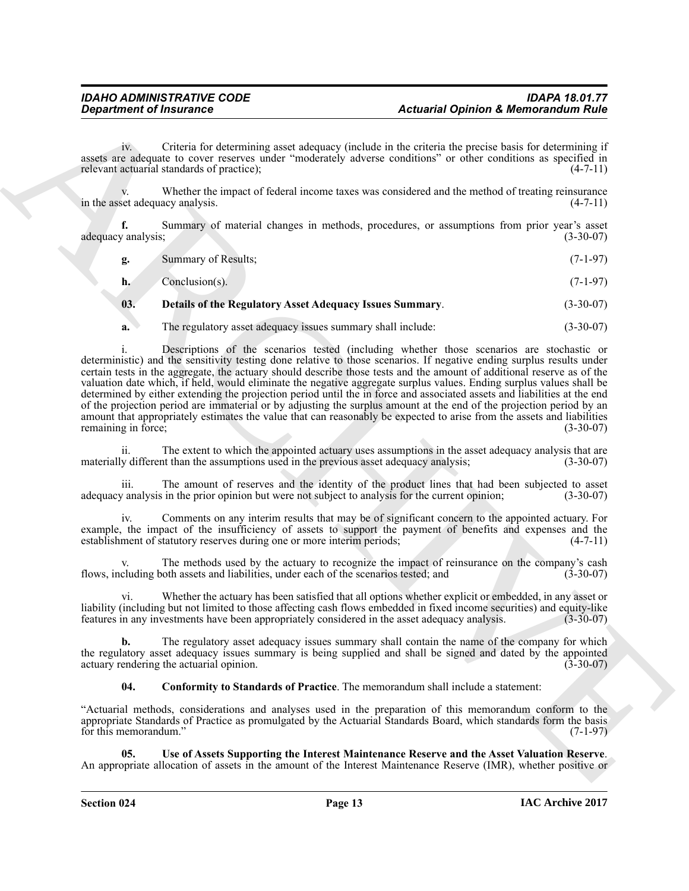iv. Criteria for determining asset adequacy (include in the criteria the precise basis for determining if assets are adequate to cover reserves under "moderately adverse conditions" or other conditions as specified in relevant actuarial standards of practice); (4-7-11)

Whether the impact of federal income taxes was considered and the method of treating reinsurance acy analysis.  $(4-7-11)$ in the asset adequacy analysis.

**f.** Summary of material changes in methods, procedures, or assumptions from prior year's asset adequacy analysis; (3-30-07) (3-30-07)

| Summary of Results: | $(7-1-97)$ |  |
|---------------------|------------|--|
|                     |            |  |

| h. | Conclusion(s). | $(7-1-97)$ |
|----|----------------|------------|
|----|----------------|------------|

# <span id="page-12-1"></span>**03. Details of the Regulatory Asset Adequacy Issues Summary**. (3-30-07)

**a.** The regulatory asset adequacy issues summary shall include:  $(3-30-07)$ 

**Equation of Financial Commute Constraints and constraints and constraints and constraints and commute and commute and commute and commute and commute and commute and commute and commute and commute and commute and commut** i. Descriptions of the scenarios tested (including whether those scenarios are stochastic or deterministic) and the sensitivity testing done relative to those scenarios. If negative ending surplus results under certain tests in the aggregate, the actuary should describe those tests and the amount of additional reserve as of the valuation date which, if held, would eliminate the negative aggregate surplus values. Ending surplus values shall be determined by either extending the projection period until the in force and associated assets and liabilities at the end of the projection period are immaterial or by adjusting the surplus amount at the end of the projection period by an amount that appropriately estimates the value that can reasonably be expected to arise from the assets and liabilities remaining in force; (3-30-07) remaining in force;

ii. The extent to which the appointed actuary uses assumptions in the asset adequacy analysis that are materially different than the assumptions used in the previous asset adequacy analysis; (3-30-07)

iii. The amount of reserves and the identity of the product lines that had been subjected to asset  $\alpha$  ranalysis in the prior opinion but were not subject to analysis for the current opinion; (3-30-07) adequacy analysis in the prior opinion but were not subject to analysis for the current opinion;

Comments on any interim results that may be of significant concern to the appointed actuary. For example, the impact of the insufficiency of assets to support the payment of benefits and expenses and the establishment of statutory reserves during one or more interim periods: (4-7-11) establishment of statutory reserves during one or more interim periods;

The methods used by the actuary to recognize the impact of reinsurance on the company's cash of hassets and liabilities, under each of the scenarios tested: and (3-30-07) flows, including both assets and liabilities, under each of the scenarios tested; and

vi. Whether the actuary has been satisfied that all options whether explicit or embedded, in any asset or liability (including but not limited to those affecting cash flows embedded in fixed income securities) and equity-like features in any investments have been appropriately considered in the asset adequacy analysis. (3-30-0 features in any investments have been appropriately considered in the asset adequacy analysis.

**b.** The regulatory asset adequacy issues summary shall contain the name of the company for which the regulatory asset adequacy issues summary is being supplied and shall be signed and dated by the appointed actuary rendering the actuarial opinion. (3-30-07)

<span id="page-12-2"></span><span id="page-12-0"></span>**04. Conformity to Standards of Practice**. The memorandum shall include a statement:

"Actuarial methods, considerations and analyses used in the preparation of this memorandum conform to the appropriate Standards of Practice as promulgated by the Actuarial Standards Board, which standards form the basis for this memorandum." (7-1-97) for this memorandum."

**05. Use of Assets Supporting the Interest Maintenance Reserve and the Asset Valuation Reserve**. An appropriate allocation of assets in the amount of the Interest Maintenance Reserve (IMR), whether positive or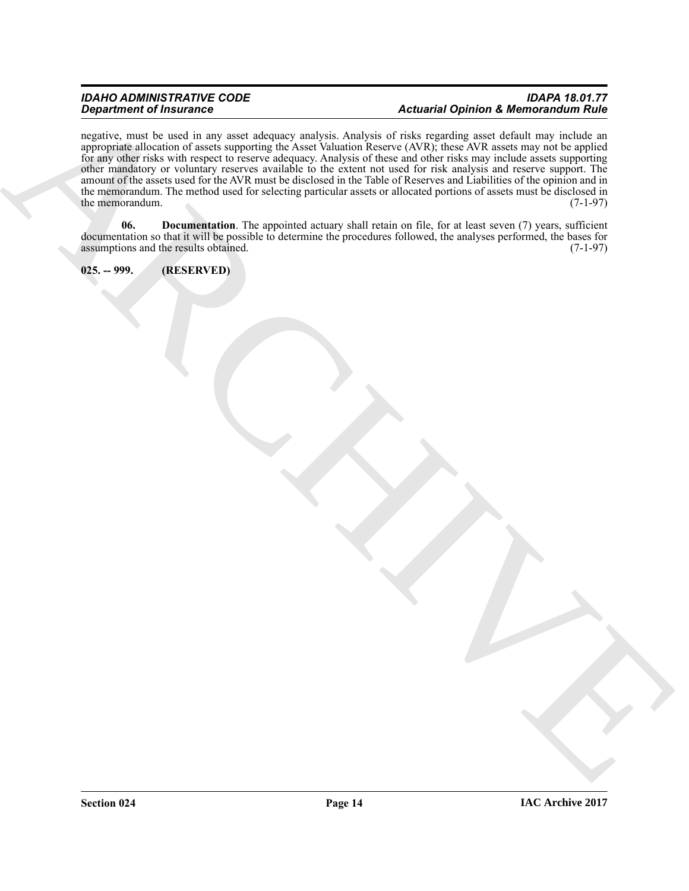# *IDAHO ADMINISTRATIVE CODE IDAPA 18.01.77 Department of Insurance Actuarial Opinion & Memorandum Rule*

Department of Financial Control in the state of the United States and Archives and Montenant Research and the state of the state of the state of the state of the state of the state of the state of the state of the state of negative, must be used in any asset adequacy analysis. Analysis of risks regarding asset default may include an appropriate allocation of assets supporting the Asset Valuation Reserve (AVR); these AVR assets may not be applied for any other risks with respect to reserve adequacy. Analysis of these and other risks may include assets supporting other mandatory or voluntary reserves available to the extent not used for risk analysis and reserve support. The amount of the assets used for the AVR must be disclosed in the Table of Reserves and Liabilities of the opinion and in the memorandum. The method used for selecting particular assets or allocated portions of assets must be disclosed in the memorandum. (7-1-97) the memorandum.

<span id="page-13-1"></span>**06.** Documentation. The appointed actuary shall retain on file, for at least seven (7) years, sufficient documentation so that it will be possible to determine the procedures followed, the analyses performed, the bases for assumptions and the results obtained. (7-1-97)

<span id="page-13-0"></span>**025. -- 999. (RESERVED)**